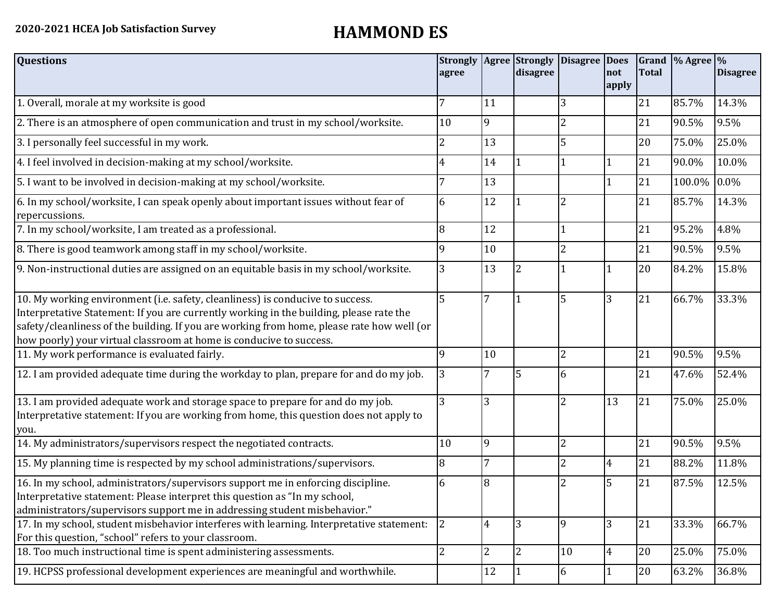| <b>Questions</b>                                                                                                                                                                                                                                                                                                                               | <b>Strongly</b><br>agree |                | disagree       | Agree Strongly Disagree | <b>Does</b><br>not<br>apply | <b>Total</b> | Grand $\frac{9}{6}$ Agree $\frac{9}{6}$ | <b>Disagree</b> |
|------------------------------------------------------------------------------------------------------------------------------------------------------------------------------------------------------------------------------------------------------------------------------------------------------------------------------------------------|--------------------------|----------------|----------------|-------------------------|-----------------------------|--------------|-----------------------------------------|-----------------|
| 1. Overall, morale at my worksite is good                                                                                                                                                                                                                                                                                                      |                          | 11             |                | 3                       |                             | 21           | 85.7%                                   | 14.3%           |
| 2. There is an atmosphere of open communication and trust in my school/worksite.                                                                                                                                                                                                                                                               | 10                       | 9              |                | 2                       |                             | 21           | 90.5%                                   | 9.5%            |
| 3. I personally feel successful in my work.                                                                                                                                                                                                                                                                                                    | 2                        | 13             |                | 5                       |                             | 20           | 75.0%                                   | 25.0%           |
| 4. I feel involved in decision-making at my school/worksite.                                                                                                                                                                                                                                                                                   | 4                        | 14             |                |                         |                             | 21           | 90.0%                                   | 10.0%           |
| 5. I want to be involved in decision-making at my school/worksite.                                                                                                                                                                                                                                                                             |                          | 13             |                |                         | $\mathbf{1}$                | 21           | 100.0%                                  | 0.0%            |
| 6. In my school/worksite, I can speak openly about important issues without fear of<br>repercussions.                                                                                                                                                                                                                                          | 6                        | 12             |                |                         |                             | 21           | 85.7%                                   | 14.3%           |
| 7. In my school/worksite, I am treated as a professional.                                                                                                                                                                                                                                                                                      | 8                        | 12             |                |                         |                             | 21           | 95.2%                                   | 4.8%            |
| 8. There is good teamwork among staff in my school/worksite.                                                                                                                                                                                                                                                                                   | 9                        | 10             |                | 2                       |                             | 21           | 90.5%                                   | 9.5%            |
| 9. Non-instructional duties are assigned on an equitable basis in my school/worksite.                                                                                                                                                                                                                                                          | 3                        | 13             | 2              |                         |                             | 20           | 84.2%                                   | 15.8%           |
| 10. My working environment (i.e. safety, cleanliness) is conducive to success.<br>Interpretative Statement: If you are currently working in the building, please rate the<br>safety/cleanliness of the building. If you are working from home, please rate how well (or<br>how poorly) your virtual classroom at home is conducive to success. | 5                        | $\overline{7}$ |                | 5                       | 3                           | 21           | 66.7%                                   | 33.3%           |
| 11. My work performance is evaluated fairly.                                                                                                                                                                                                                                                                                                   | q                        | 10             |                | $\overline{2}$          |                             | 21           | 90.5%                                   | 9.5%            |
| 12. I am provided adequate time during the workday to plan, prepare for and do my job.                                                                                                                                                                                                                                                         | 3                        |                | 5              | 6                       |                             | 21           | 47.6%                                   | 52.4%           |
| 13. I am provided adequate work and storage space to prepare for and do my job.<br>Interpretative statement: If you are working from home, this question does not apply to<br>you.                                                                                                                                                             | 3                        | 3              |                | $\overline{2}$          | 13                          | 21           | 75.0%                                   | 25.0%           |
| 14. My administrators/supervisors respect the negotiated contracts.                                                                                                                                                                                                                                                                            | 10                       | 9              |                | $\overline{2}$          |                             | 21           | 90.5%                                   | 9.5%            |
| 15. My planning time is respected by my school administrations/supervisors.                                                                                                                                                                                                                                                                    | 8                        | 7              |                | 2                       | 4                           | 21           | 88.2%                                   | 11.8%           |
| 16. In my school, administrators/supervisors support me in enforcing discipline.<br>Interpretative statement: Please interpret this question as "In my school,<br>administrators/supervisors support me in addressing student misbehavior."                                                                                                    | 6                        | 8              |                |                         | 5                           | 21           | 87.5%                                   | 12.5%           |
| 17. In my school, student misbehavior interferes with learning. Interpretative statement:<br>For this question, "school" refers to your classroom.                                                                                                                                                                                             | 2                        | $\overline{4}$ | $\overline{3}$ | 9                       | 3                           | 21           | 33.3%                                   | 66.7%           |
| 18. Too much instructional time is spent administering assessments.                                                                                                                                                                                                                                                                            | $\overline{2}$           | $\overline{2}$ | $\overline{2}$ | 10                      | $\overline{4}$              | 20           | 25.0%                                   | 75.0%           |
| 19. HCPSS professional development experiences are meaningful and worthwhile.                                                                                                                                                                                                                                                                  |                          | 12             | 1              | 6                       | $\mathbf{1}$                | 20           | 63.2%                                   | 36.8%           |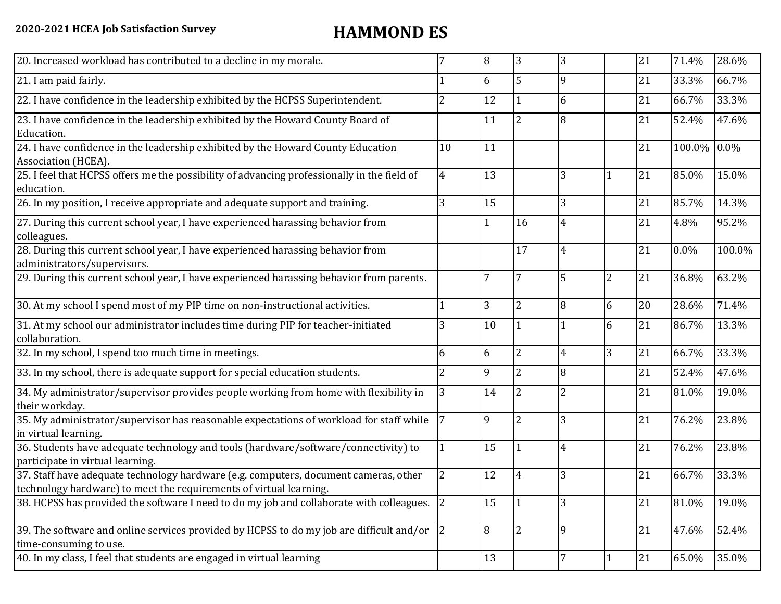| 20. Increased workload has contributed to a decline in my morale.                                                                                          |                | 8              | 3              | 3              |   | 21 | 71.4%  | 28.6%   |
|------------------------------------------------------------------------------------------------------------------------------------------------------------|----------------|----------------|----------------|----------------|---|----|--------|---------|
| 21. I am paid fairly.                                                                                                                                      |                | 6              | 5              | 9              |   | 21 | 33.3%  | 66.7%   |
| 22. I have confidence in the leadership exhibited by the HCPSS Superintendent.                                                                             |                | 12             |                | 6              |   | 21 | 66.7%  | 33.3%   |
| 23. I have confidence in the leadership exhibited by the Howard County Board of<br>Education.                                                              |                | 11             | $\overline{2}$ | 8              |   | 21 | 52.4%  | 47.6%   |
| 24. I have confidence in the leadership exhibited by the Howard County Education<br>Association (HCEA).                                                    | 10             | 11             |                |                |   | 21 | 100.0% | $0.0\%$ |
| 25. I feel that HCPSS offers me the possibility of advancing professionally in the field of<br>education.                                                  | 4              | 13             |                | 3              |   | 21 | 85.0%  | 15.0%   |
| 26. In my position, I receive appropriate and adequate support and training.                                                                               | 3              | 15             |                | 3              |   | 21 | 85.7%  | 14.3%   |
| 27. During this current school year, I have experienced harassing behavior from<br>colleagues.                                                             |                | 1              | 16             | 4              |   | 21 | 4.8%   | 95.2%   |
| 28. During this current school year, I have experienced harassing behavior from<br>administrators/supervisors.                                             |                |                | 17             | 4              |   | 21 | 0.0%   | 100.0%  |
| 29. During this current school year, I have experienced harassing behavior from parents.                                                                   |                | 7              |                | 5              | 2 | 21 | 36.8%  | 63.2%   |
| 30. At my school I spend most of my PIP time on non-instructional activities.                                                                              |                | 3              | $\overline{2}$ | 8              | 6 | 20 | 28.6%  | 71.4%   |
| 31. At my school our administrator includes time during PIP for teacher-initiated<br>collaboration.                                                        |                | 10             |                |                | 6 | 21 | 86.7%  | 13.3%   |
| 32. In my school, I spend too much time in meetings.                                                                                                       | 6              | 6              | $\overline{2}$ | $\overline{4}$ | 3 | 21 | 66.7%  | 33.3%   |
| 33. In my school, there is adequate support for special education students.                                                                                |                | 9              | $\overline{2}$ | 8              |   | 21 | 52.4%  | 47.6%   |
| 34. My administrator/supervisor provides people working from home with flexibility in<br>their workday.                                                    | 3              | 14             | $\overline{2}$ | $\overline{2}$ |   | 21 | 81.0%  | 19.0%   |
| 35. My administrator/supervisor has reasonable expectations of workload for staff while<br>in virtual learning.                                            |                | 9              | $\overline{2}$ | 3              |   | 21 | 76.2%  | 23.8%   |
| 36. Students have adequate technology and tools (hardware/software/connectivity) to<br>participate in virtual learning.                                    |                | 15             |                | $\overline{4}$ |   | 21 | 76.2%  | 23.8%   |
| 37. Staff have adequate technology hardware (e.g. computers, document cameras, other<br>technology hardware) to meet the requirements of virtual learning. | $\overline{2}$ | 12             | 4              | 3              |   | 21 | 66.7%  | 33.3%   |
| 38. HCPSS has provided the software I need to do my job and collaborate with colleagues.                                                                   | <sup>2</sup>   | 15             |                | 3              |   | 21 | 81.0%  | 19.0%   |
| 39. The software and online services provided by HCPSS to do my job are difficult and/or $\sqrt{2}$<br>time-consuming to use.                              |                | $\overline{8}$ | $\overline{2}$ | 9              |   | 21 | 47.6%  | 52.4%   |
| 40. In my class, I feel that students are engaged in virtual learning                                                                                      |                | 13             |                | 7              | 1 | 21 | 65.0%  | 35.0%   |
|                                                                                                                                                            |                |                |                |                |   |    |        |         |